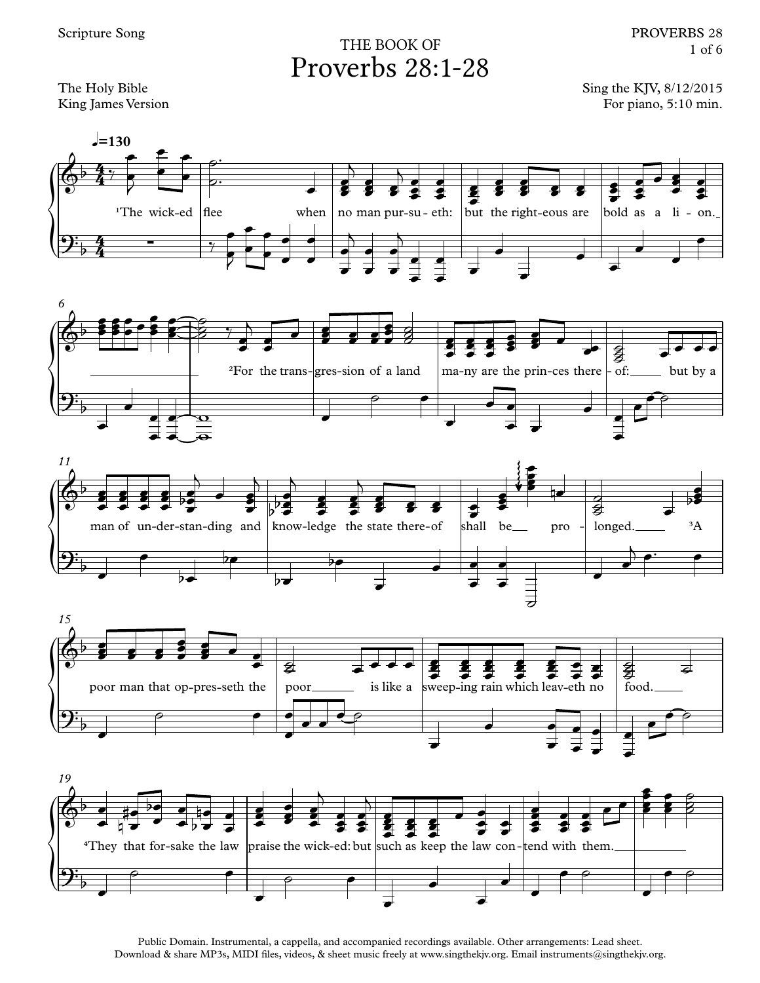## Proverbs 28:1-28 THE BOOK OF

Sing the KJV, 8/12/2015 For piano, 5:10 min.



 $=130$ 











Public Domain. Instrumental, a cappella, and accompanied recordings available. Other arrangements: Lead sheet. Download & share MP3s, MIDI files, videos, & sheet music freely at www.singthekjv.org. Email instruments@singthekjv.org.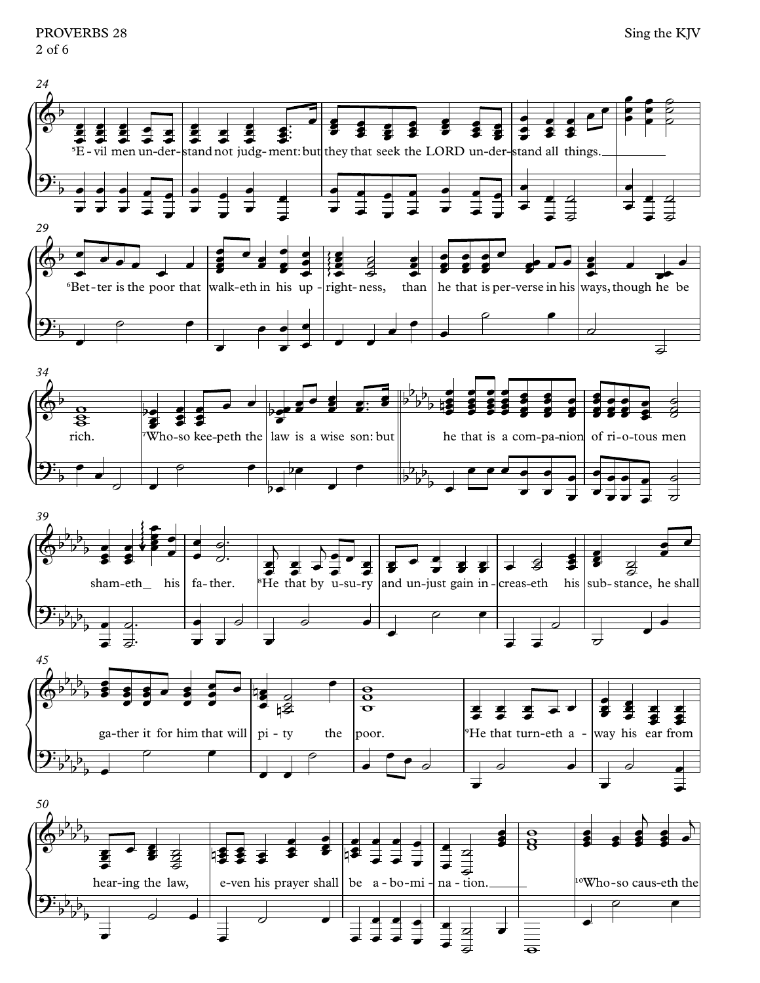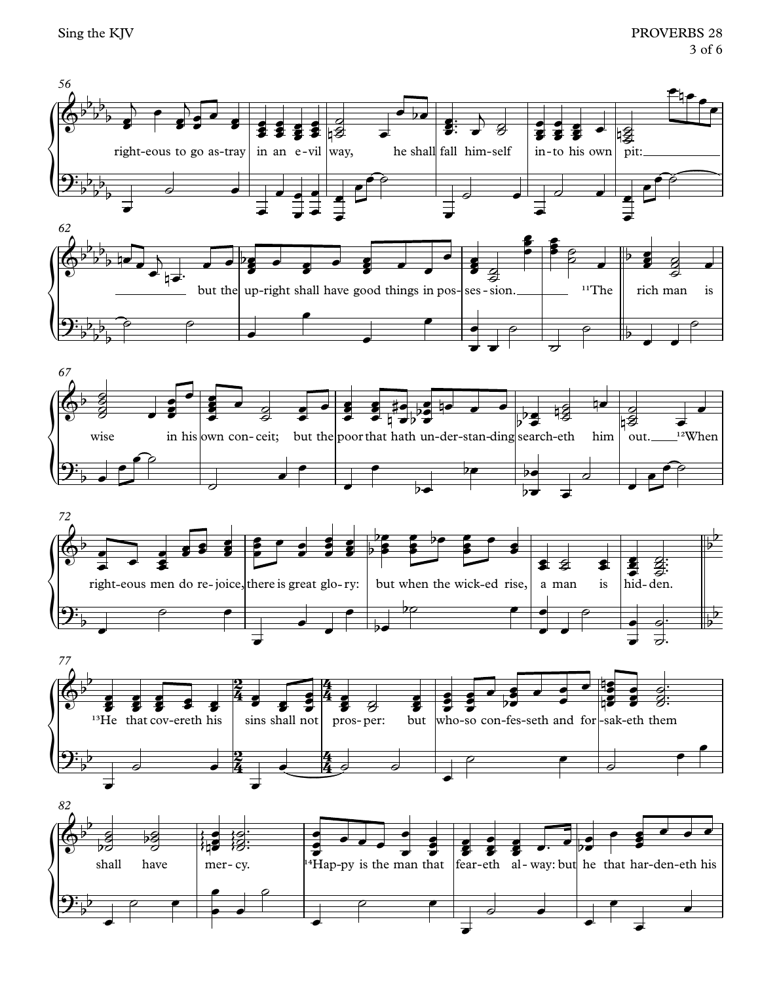Sing the KJV

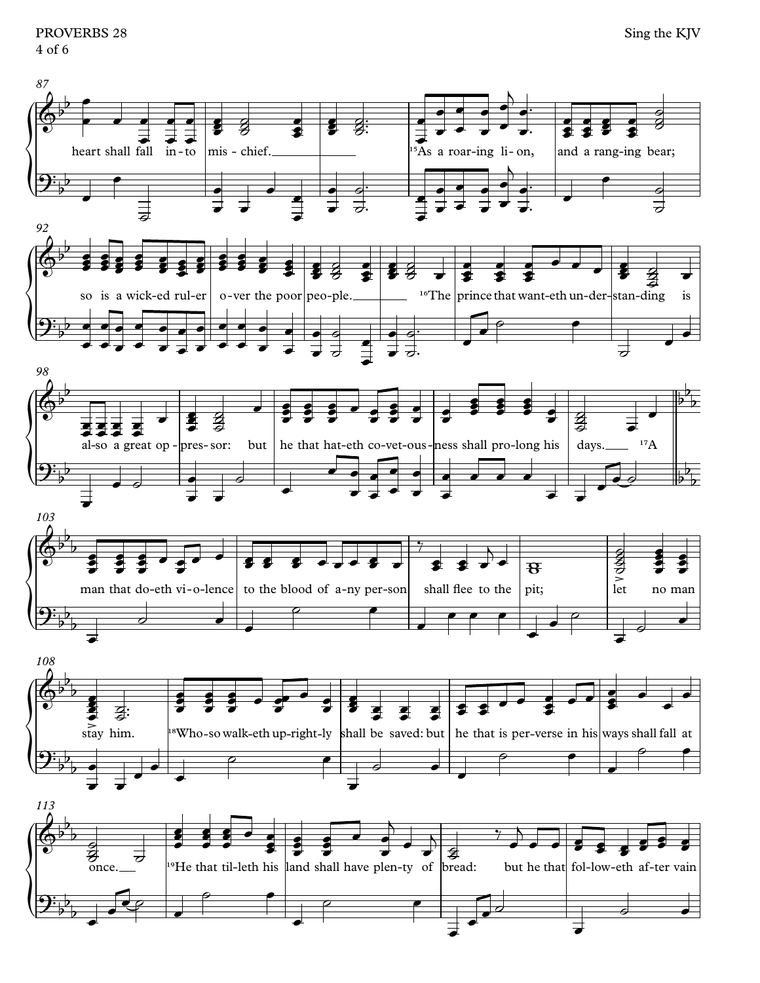PROVERBS 28 4 of 6

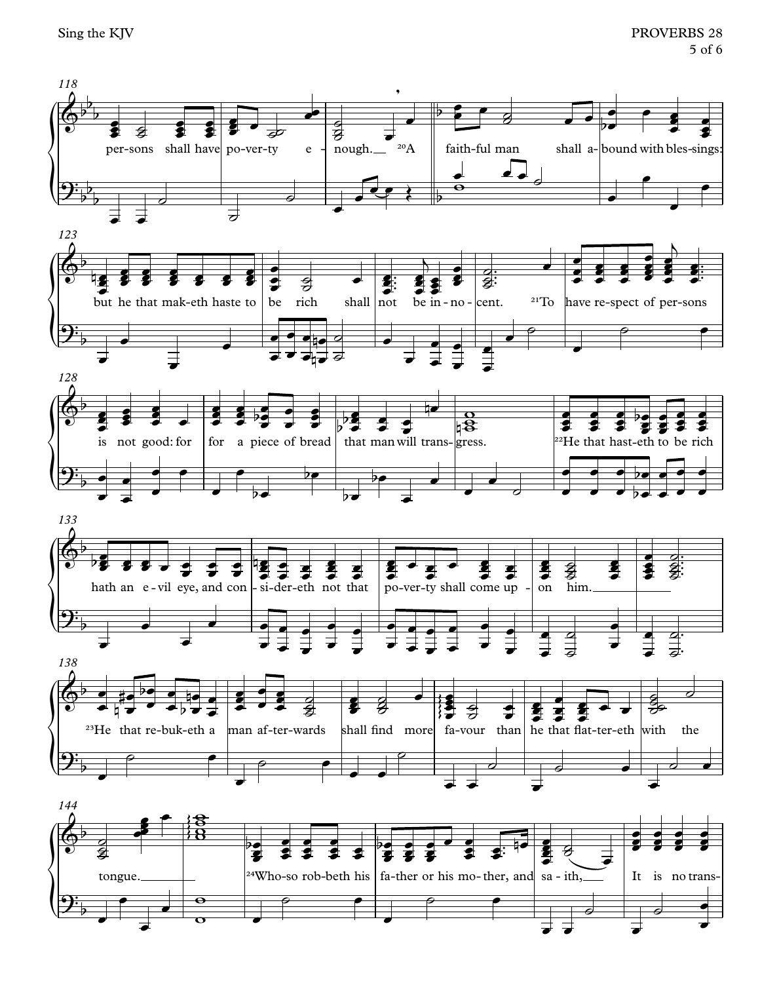